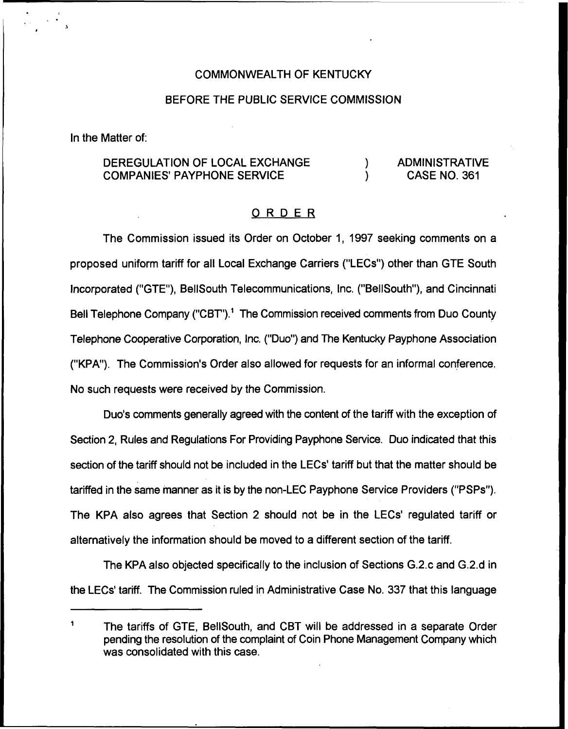#### COMMONWEALTH OF KENTUCKY

#### BEFORE THE PUBLIC SERVICE COMMISSION

In the Matter of:

#### DEREGULATION OF LOCAL EXCHANGE ADMINISTRATIVE  $\mathcal{L}$ **COMPANIES' PAYPHONE SERVICE** CASE NO. 361  $\mathcal{L}$

#### ORDER

The Commission issued its Order on October 1, 1997 seeking comments on a proposed uniform tariff for all Local Exchange Carriers ("LECs") other than GTE South Incorporated ("GTE"), BellSouth Telecommunications, Inc. ("BellSouth"), and Cincinnati Bell Telephone Company ("CBT").<sup>1</sup> The Commission received comments from Duo County Telephone Cooperative Corporation, Inc. ("Duo") and The Kentucky Payphone Association ("KPA"). The Commission's Order also allowed for requests for an informal conference. No such requests were received by the Commission.

Duo's comments generally agreed with the content of the tariff with the exception of Section 2, Rules and Regulations For Providing Payphone Service. Duo indicated that this section of the tariff should not be included in the LECs' tariff but that the matter should be tariffed in the same manner as it is by the non-LEC Payphone Service Providers ("PSPs"). The KPA also agrees that Section 2 should not be in the LECs' regulated tariff or alternatively the information should be moved to a different section of the tariff.

The KPA also objected specifically to the inclusion of Sections G.2.cand G.2.d in the LECs' tariff. The Commission ruled in Administrative Case No. 337 that this language

<sup>1</sup> The tariffs of GTE, BellSouth, and CBT will be addressed in a separate Order pending the resolution of the complaint of Coin Phone Management Company which was consolidated with this case.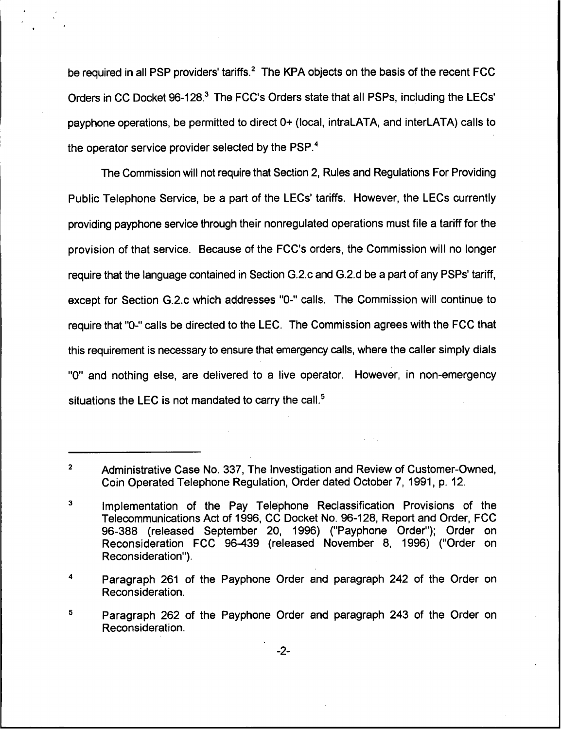be required in all PSP providers' tariffs.<sup>2</sup> The KPA objects on the basis of the recent FCC Orders in CC Docket 96-128.<sup>3</sup> The FCC's Orders state that all PSPs, including the LECs' operations, be permitted to direct 0+ (local, intraLATA, and interLATA) calls to the operator service provider selected by the PSP.<sup>4</sup>

The Commission will not require that Section 2, Rules and Regulations For Providing Public Telephone Service, be a part of the LECs' tariffs. However, the LECs currently providing payphone service through their nonregulated operations must file a tariff for the provision of that service. Because of the FCC's orders, the Commission will no longer require that the language contained in Section G.2.c and G.2.d be a part of any PSPs' tariff, except for Section G.2.c which addresses "0-" calls. The Commission will continue to require that "0-" calls be directed to the LEC. The Commission agrees with the FCC that this requirement is necessary to ensure that emergency calls, where the caller simply dials "0" and nothing else, are delivered to a live operator. However, in non-emergency situations the LEC is not mandated to carry the call.<sup>5</sup>

 $\overline{2}$ Administrative Case No. 337, The Investigation and Review of Customer-Owned, Coin Operated Telephone Regulation, Order dated October 7, 1991, p. 12.

 ${\bf 3}$ Implementation of the Pay Telephone Reclassification Provisions of the Telecommunications Act of 1996, CC Docket No. 96-128, Report and Order, FCC 96-388 (released September 20, 1996) ("Payphone Order"); Order on Reconsideration FCC 96-439 (released November 8, 1996) ("Order on Reconsideration").

 $\ddot{\phantom{a}}$ Paragraph 261 of the Payphone Order and paragraph 242 of the Order on Reconsideration.

<sup>5</sup> Paragraph 262 of the Payphone Order and paragraph 243 of the Order on Reconsideration.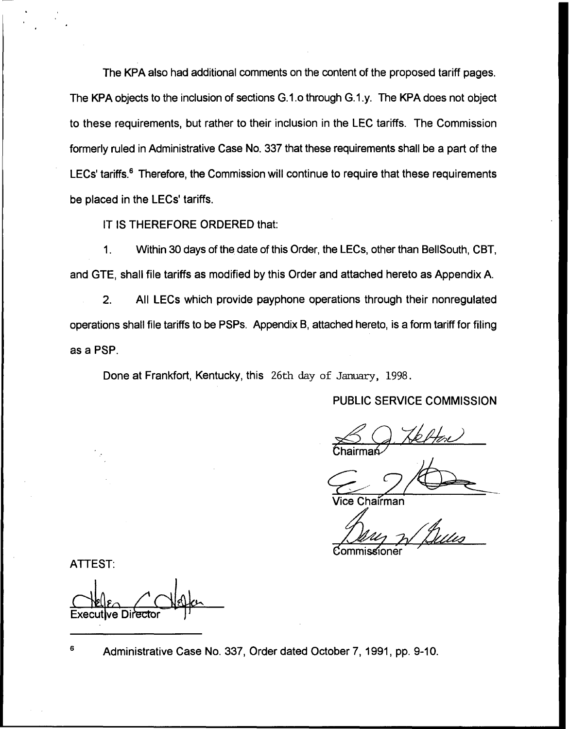The KPA also had additional comments on the content of the proposed tariff pages. The KPA objects to the inclusion of sections G.1.o through G.1.y. The KPA does not object to these requirements, but rather to their inclusion in the LEC tariffs. The Commission formerly ruled in Administrative Case No. 337 that these requirements shall be a part of the LECs' tariffs. $<sup>6</sup>$  Therefore, the Commission will continue to require that these requirements</sup> be placed in the LECs' tariffs.

IT IS THEREFORE ORDERED that:

1. Within 30 days of the date of this Order, the LECs, other than BellSouth, CBT, and GTE, shall file tariffs as modified by this Order and attached hereto as Appendix A.

2. All LECs which provide payphone operations through their nonregulated operations shall file tariffs to be PSPs. Appendix B, attached hereto, is a form tariff for filing as a PSP.

Done at Frankfort, Kentucky, this 26th day of January, 1998.

PUBLIC SERVICE COMMISSION

Chairma<mark>ń</mark>

Vice Chairman<br>Commissioner

ATTEST:

Execut**i**ve Directo

6 Administrative Case No. 337, Order dated October 7, 1991, pp. 9-10.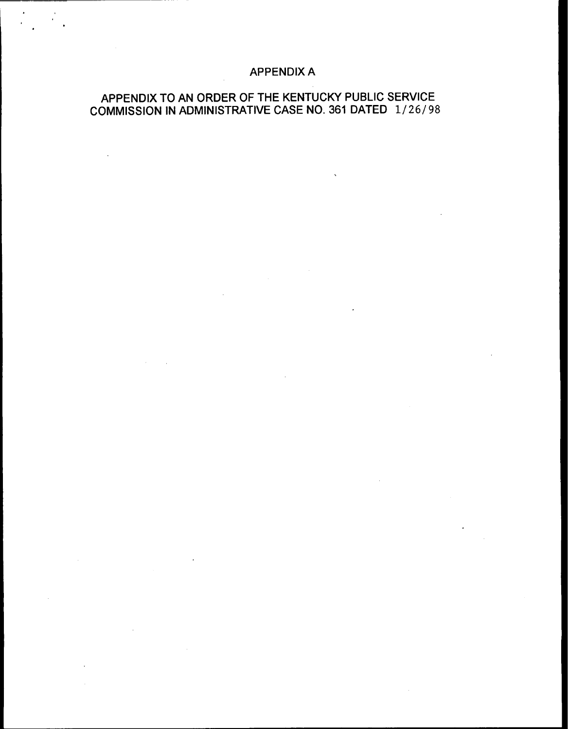# APPENDIX A

 $\mathbf{v}$ 

 $\mathcal{L}$ 

 $\label{eq:2} \frac{1}{\sqrt{2}}\sum_{i=1}^n\frac{1}{\sqrt{2}}\sum_{i=1}^n\frac{1}{\sqrt{2}}\sum_{i=1}^n\frac{1}{\sqrt{2}}\sum_{i=1}^n\frac{1}{\sqrt{2}}\sum_{i=1}^n\frac{1}{\sqrt{2}}\sum_{i=1}^n\frac{1}{\sqrt{2}}\sum_{i=1}^n\frac{1}{\sqrt{2}}\sum_{i=1}^n\frac{1}{\sqrt{2}}\sum_{i=1}^n\frac{1}{\sqrt{2}}\sum_{i=1}^n\frac{1}{\sqrt{2}}\sum_{i=1}^n\frac{1$ 

# APPENDIX TO AN ORDER OF THE KENTUCKY PUBLIC SERVICE COMMISSION IN ADMINISTRATIVE CASE NO. 361 DATED 1/26/98

 $\sim$   $\sim$ 

 $\sim$   $\sim$ 

 $\sim 10^{11}$  and  $\sim 10^{11}$ 

 $\sim 10^7$ 

 $\sim 10^{-1}$ 

 $\ddot{\phantom{1}}$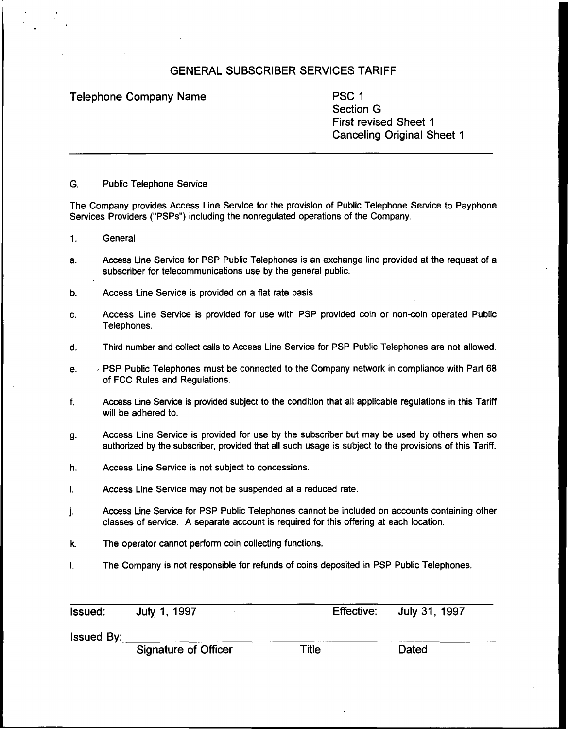Telephone Company Name **PSC 1** 

Section G First revised Sheet 1 Canceling Original Sheet 1

G. Public Telephone Service

The Company provides Access Line Service for the provision of Public Telephone Service to Payphone Services Providers ("PSPs") including the nonregulated operations of the Company.

- 1. General
- a. Access Line Service for PSP Public Telephones is an exchange line provided at the request of a subscriber for telecommunications use by the general public.
- b. Access Line Service is provided on a flat rate basis.
- c. Access Line Service is provided for use with PSP provided coin or non-coin operated Public Telephones.
- d. Third number and collect calls to Access Line Service for PSP Public Telephones are not allowed.
- e. PSP Public Telephones must be connected to the Company network in compliance with Part 68 of FCC Rules and Regulations.
- $f_{\perp}$ Access Line Service is provided subject to the condition that all applicable regulations in this Tariff will be adhered to.
- g. Access Line Service is provided for use by the subscriber but may be used by others when so authorized by the subscriber, provided that all such usage is subject to the provisions of this Tariff.
- h. Access Line Service is not subject to concessions.
- Access Line Service may not be suspended at a reduced rate. i.
- Access Line Service for PSP Public Telephones cannot be included on accounts containing other j. classes of service. A separate account is required for this offering at each location.
- k. The operator cannot perform coin collecting functions.
- The Company is not responsible for refunds of coins deposited in PSP Public Telephones.  $\mathbf{L}$

| <b>Issued:</b>    | July 1, 1997 |  | Effective: July 31, 1997 |  |
|-------------------|--------------|--|--------------------------|--|
| <b>Issued By:</b> |              |  |                          |  |

Signature of Officer Title **Dated**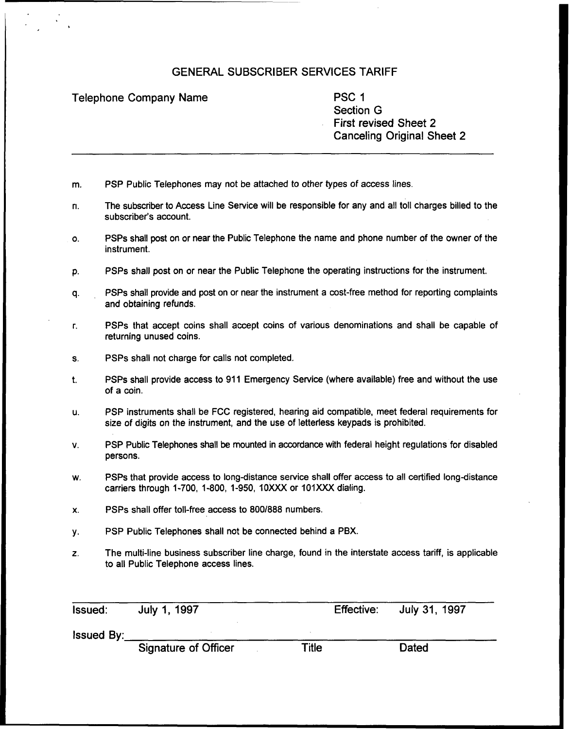Telephone Company Name **PSC 1** 

Section G First revised Sheet 2 Canceling Original Sheet 2

- m. PSP Public Telephones may not be attached to other types of access lines.
- The subscriber to Access Line Service will be responsible for any and all toll charges billed to the n. subscriber's account.
- o. PSPs shall post on or near the Public Telephone the name and phone number of the owner of the instrument.
- p. PSPs shall post on or near the Public Telephone the operating instructions for the instrument.
- q. PSPs shall provide and post on or near the instrument a cost-free method for reporting complaints and obtaining refunds.
- PSPs that accept coins shall accept coins of various denominations and shall be capable of r. returning unused coins.
- s. PSPs shall not charge for calls not completed.
- PSPs shall provide access to 911 Emergency Service (where available) free and without the use  $t$ . of a coin.
- u. PSP instruments shall be FCC registered, hearing aid compatible, meet federal requirements for size of digits on the instrument, and the use of letterless keypads is prohibited.
- V. PSP Public Telephones shall be mounted in accordance with federal height regulations for disabled persons.
- w. PSPs that provide access to long-distance service shall offer access to all certified long-distance carriers through 1-700, 1-800, 1-950, 10XXX or 101XXX dialing.
- x. PSPs shall offer toll-free access to 800/888 numbers
- PSP Public Telephones shall not be connected behind a PBX. у.
- Z. The multi-line business subscriber line charge, found in the interstate access tariff, is applicable to all Public Telephone access lines.

Issued: July 1, 1997 Effective: July 31, 1997

Issued By:

Signature of Officer

**Title** 

**Dated**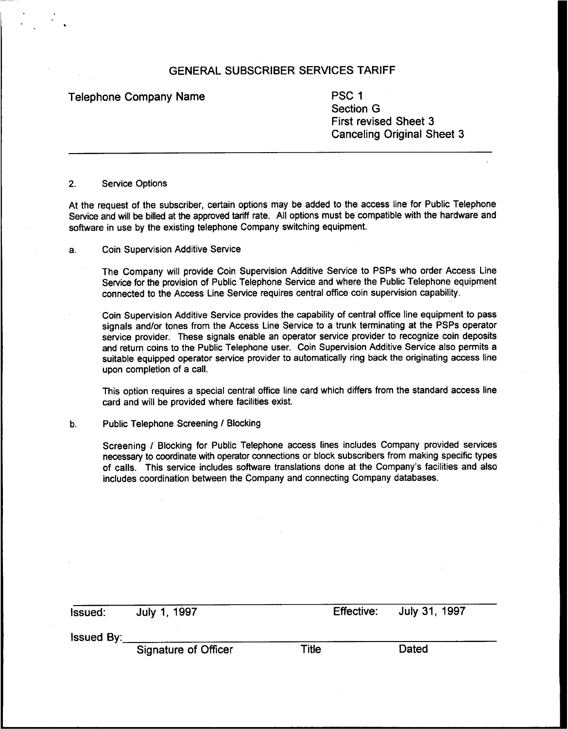Telephone Company Name **PSC 1** 

Section 6 First revised Sheet 3 Canceling Original Sheet 3

#### 2. Service Options

At the request of the subscriber, certain options may be added to the access line for Public Telephone Service and will be billed at the approved tariff rate. All options must be compatible with the hardware and software in use by the existing telephone Company switching equipment.

Coin Supervision Additive Service а.

> The Company will provide Coin Supervision Additive Service to PSPs who order Access Line Service for the provision of Public Telephone Service and where the Public Telephone equipment connected to the Access Line Service requires central office coin supervision capability.

> Coin Supervision Additive Service provides the capability of central office line equipment to pass signals and/or tones from the Access Line Service to a trunk terminating at the PSPs operator service provider. These signals enable an operator service provider to recognize coin deposits and return coins to the Public Telephone user. Coin Supervision Additive Service also permits a suitable equipped operator service provider to automatically ring back the originating access line upon completion of a call.

> This option requires a special central office line card which differs from the standard access line card and will be provided where facilities exist.

#### Public Telephone Screening / Blocking  $b.$

Screening / Blocking for Public Telephone access lines includes Company provided services necessary to coordinate with operator connections or block subscribers from making specific types of calls. This service includes software translations done at the Company's facilities and also includes coordination between the Company and connecting Company databases.

| <b>Issued:</b>    | July 1, 1997                |       | Effective: July 31, 1997 |
|-------------------|-----------------------------|-------|--------------------------|
| <b>Issued By:</b> |                             |       |                          |
|                   | <b>Signature of Officer</b> | Title | Dated                    |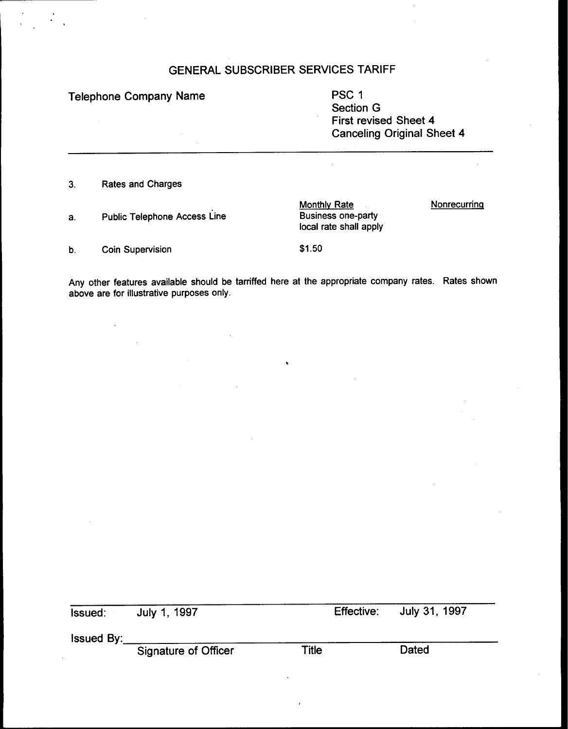Telephone Company Name **PSC 1** Section G First revised Sheet 4 Canceling Original Sheet 4 Rates and Charges  $3.$ **Nonrecurring** Monthly Rate Public Telephone Access Line Business one-party a. local rate shall apply Coin Supervision **\$1.50** b.

Any other features available should be tarnffed here at the appropriate company rates. Rates shown above are for illustrative purposes only.

| lssued: I  | July 1, 1997                |       | Effective: July 31, 1997 |  |
|------------|-----------------------------|-------|--------------------------|--|
|            |                             |       |                          |  |
| lssued By: |                             |       |                          |  |
|            | <b>Signature of Officer</b> | Title | Dated                    |  |
|            |                             |       |                          |  |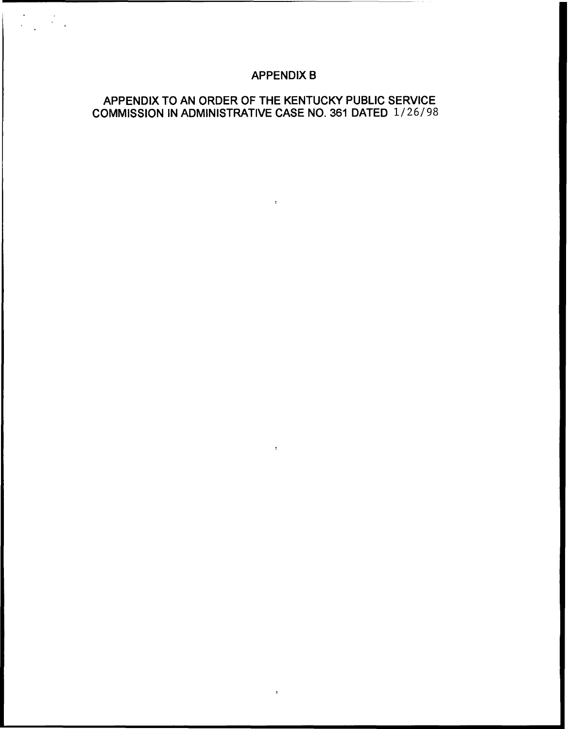# APPENDIX B

 $\mathcal{L}=\mathbf{H}^{\mathrm{H}}$  , where  $\mathcal{L}^{\mathrm{H}}$ 

 $\sim$  1  $\sim$ 

 $\bullet$ 

# APPENDIX TO AN ORDER OF THE KENTUCKY PUBLIC SERVICE COMMISSION IN ADMINISTRATIVE CASE NO. 361 DATED 1/26/98

 $\label{eq:2.1} \begin{split} \mathcal{L}_{\text{max}}(\mathbf{y}) &= \frac{1}{2} \mathcal{L}_{\text{max}}(\mathbf{y}) \\ &= \frac{1}{2} \mathcal{L}_{\text{max}}(\mathbf{y}) \\ &= \frac{1}{2} \mathcal{L}_{\text{max}}(\mathbf{y}) \\ &= \frac{1}{2} \mathcal{L}_{\text{max}}(\mathbf{y}) \\ &= \frac{1}{2} \mathcal{L}_{\text{max}}(\mathbf{y}) \\ &= \frac{1}{2} \mathcal{L}_{\text{max}}(\mathbf{y}) \\ &= \frac{1}{2} \mathcal{L}_{\text{max}}(\mathbf{y}) \\ &= \frac{1}{2$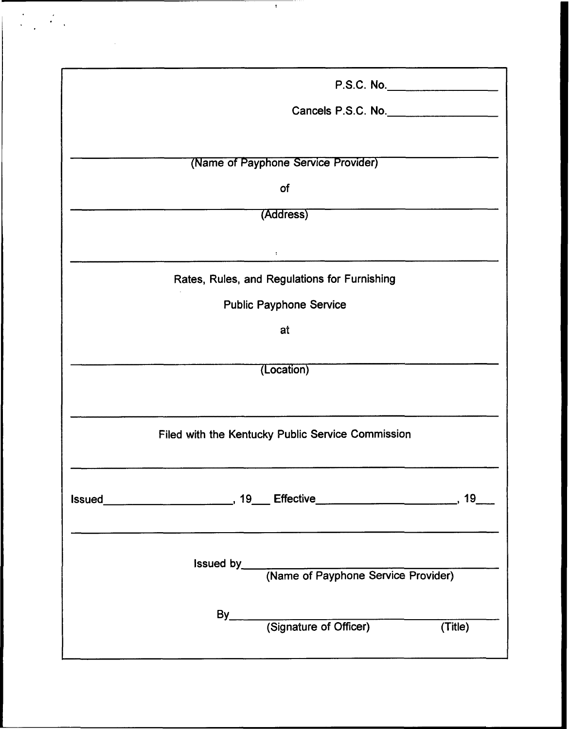| P.S.C. No.                                                                                                      |  |
|-----------------------------------------------------------------------------------------------------------------|--|
| Cancels P.S.C. No.                                                                                              |  |
|                                                                                                                 |  |
| (Name of Payphone Service Provider)                                                                             |  |
| of                                                                                                              |  |
| (Address)                                                                                                       |  |
|                                                                                                                 |  |
| $\ddot{\cdot}$                                                                                                  |  |
| Rates, Rules, and Regulations for Furnishing                                                                    |  |
| <b>Public Payphone Service</b>                                                                                  |  |
| at                                                                                                              |  |
|                                                                                                                 |  |
| (Location)                                                                                                      |  |
|                                                                                                                 |  |
| Filed with the Kentucky Public Service Commission                                                               |  |
|                                                                                                                 |  |
|                                                                                                                 |  |
|                                                                                                                 |  |
| the contract of the contract of the contract of the contract of the contract of the contract of the contract of |  |
|                                                                                                                 |  |
|                                                                                                                 |  |
|                                                                                                                 |  |
| By<br>(Signature of Officer) (Title)                                                                            |  |
|                                                                                                                 |  |
|                                                                                                                 |  |

 $\frac{1}{\sqrt{1-\frac{1}{2}}}\left(1-\frac{1}{2}\right)$ 

 $\label{eq:2.1} \frac{1}{\sqrt{2}}\left(\frac{1}{\sqrt{2}}\right)^{2} \left(\frac{1}{\sqrt{2}}\right)^{2} \left(\frac{1}{\sqrt{2}}\right)^{2} \left(\frac{1}{\sqrt{2}}\right)^{2} \left(\frac{1}{\sqrt{2}}\right)^{2} \left(\frac{1}{\sqrt{2}}\right)^{2} \left(\frac{1}{\sqrt{2}}\right)^{2} \left(\frac{1}{\sqrt{2}}\right)^{2} \left(\frac{1}{\sqrt{2}}\right)^{2} \left(\frac{1}{\sqrt{2}}\right)^{2} \left(\frac{1}{\sqrt{2}}\right)^{2} \left(\$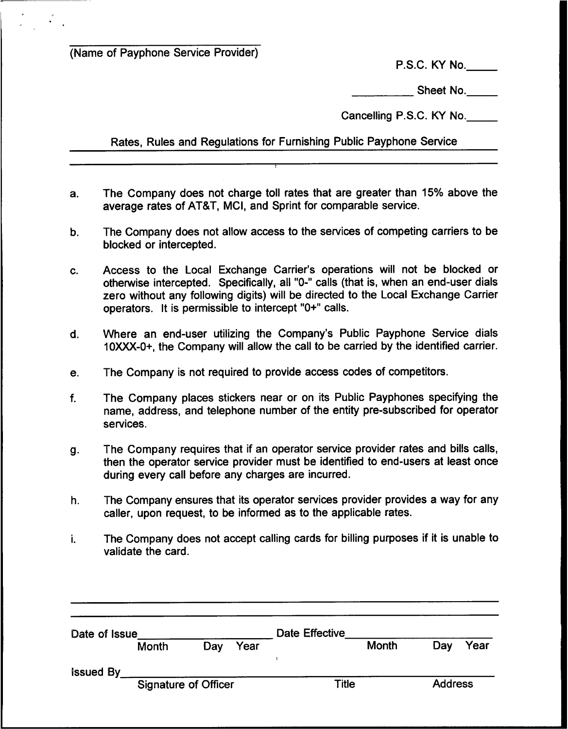(Name of Payphone Service Provider}

P.S.C. KY No.

Sheet No.

Cancelling P.S.C. KY No.

Rates, Rules and Regulations for Furnishing Public Payphone Service

- a. The Company does not charge toll rates that are greater than 15% above the average rates of AT8T, MCI, and Sprint for comparable service.
- b. The Company does not allow access to the services of competing carriers to be blocked or intercepted.
- Access to the Local Exchange Carrier's operations will not be blocked or C. otherwise intercepted. Specifically, all "0-" calls (that is, when an end-user dials zero without any following digits) will be directed to the Local Exchange Carrier operators. It is permissible to intercept "0+" calls.
- d. Where an end-user utilizing the Company's Public Payphone Service dials 10XXX-0+, the Company will allow the call to be carried by the identified carrier.
- e. The Company is not required to provide access codes of competitors.
- f. The Company places stickers near or on its Public Payphones specifying the name, address, and telephone number of the entity pre-subscribed for operator services.
- g. The Company requires that if an operator service provider rates and bills calls, then the operator service provider must be identified to end-users at least once during every call before any charges are incurred.
- h. The Company ensures that its operator services provider provides a way for any caller, upon request, to be informed as to the applicable rates.
- i. The Company does not accept calling cards for billing purposes if it is unable to validate the card.

| Date of Issue    |                             |     |       | <b>Date Effective</b> |                |     |      |
|------------------|-----------------------------|-----|-------|-----------------------|----------------|-----|------|
|                  | Month                       | Day | Year  |                       | Month          | Day | Year |
| <b>Issued By</b> |                             |     |       |                       |                |     |      |
|                  | <b>Signature of Officer</b> |     | Title |                       | <b>Address</b> |     |      |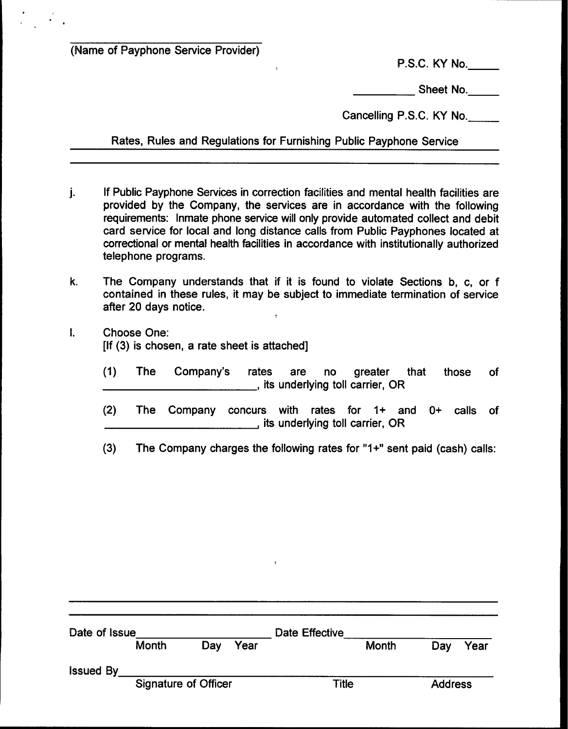(Name of Payphone Service Provider)

P.S.C. KY No.

Sheet No.

Cancelling P.S.C. KY No.

Rates, Rules and Regulations for Furnishing Public Payphone Service

 $\bullet$ 

- If Public Payphone Services in correction facilities and mental health facilities are  $\mathbf{i}$ . provided by the Company, the services are in accordance with the following requirements: Inmate phone service will only provide automated collect and debit card service for local and long distance calls from Public Payphones located at correctional or mental health facilities in accordance with institutionally authorized telephone programs.
- $\mathbf{k}$ . The Company understands that if it is found to violate Sections b, c, or f contained in these rules, it may be subject to immediate termination of service after 20 days notice.
- $\mathbf{I}$ Choose One: [If (3) is chosen, a rate sheet is attached]
	- (1) The Company's rates are no greater that those of , its underlying toll carrier, OR
	- (2) The Company concurs with rates for 1+ and 0+ calls of , its underlying toll carrier, OR
	- (3) The Company charges the following rates for "1+" sent paid (cash) calls:

| Date of Issue               |       |       | Date Effective |                |       |     |      |
|-----------------------------|-------|-------|----------------|----------------|-------|-----|------|
|                             | Month | Day   | Year           |                | Month | Day | Year |
| <b>Issued By</b>            |       |       |                |                |       |     |      |
| <b>Signature of Officer</b> |       | Title |                | <b>Address</b> |       |     |      |
|                             |       |       |                |                |       |     |      |

 $\ddot{\phantom{a}}$